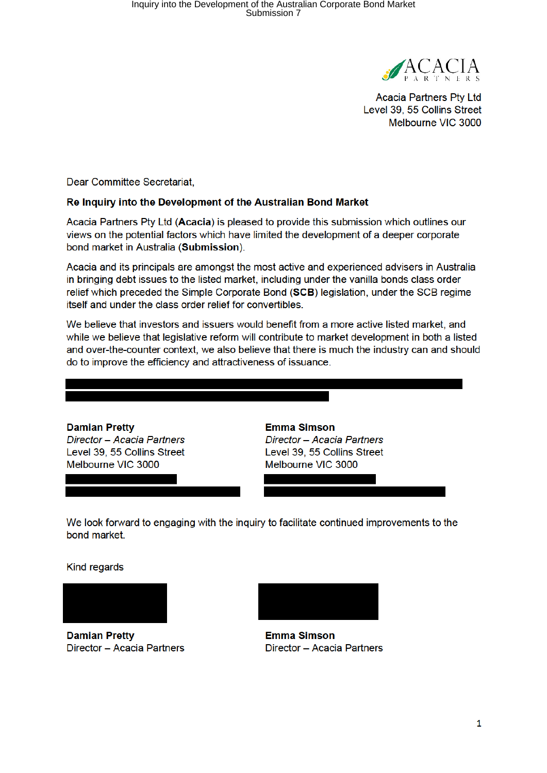

**Acacia Partners Ptv Ltd** Level 39, 55 Collins Street Melbourne VIC 3000

Dear Committee Secretariat,

### Re Inquiry into the Development of the Australian Bond Market

Acacia Partners Pty Ltd (Acacia) is pleased to provide this submission which outlines our views on the potential factors which have limited the development of a deeper corporate bond market in Australia (Submission).

Acacia and its principals are amongst the most active and experienced advisers in Australia in bringing debt issues to the listed market, including under the vanilla bonds class order relief which preceded the Simple Corporate Bond (SCB) legislation, under the SCB regime itself and under the class order relief for convertibles.

We believe that investors and issuers would benefit from a more active listed market, and while we believe that legislative reform will contribute to market development in both a listed and over-the-counter context, we also believe that there is much the industry can and should do to improve the efficiency and attractiveness of issuance.

**Damian Pretty** Director - Acacia Partners Level 39, 55 Collins Street Melbourne VIC 3000

**Emma Simson** Director - Acacia Partners Level 39, 55 Collins Street Melbourne VIC 3000

We look forward to engaging with the inquiry to facilitate continued improvements to the bond market.

Kind regards

**Damian Pretty** Director - Acacia Partners



**Emma Simson** Director - Acacia Partners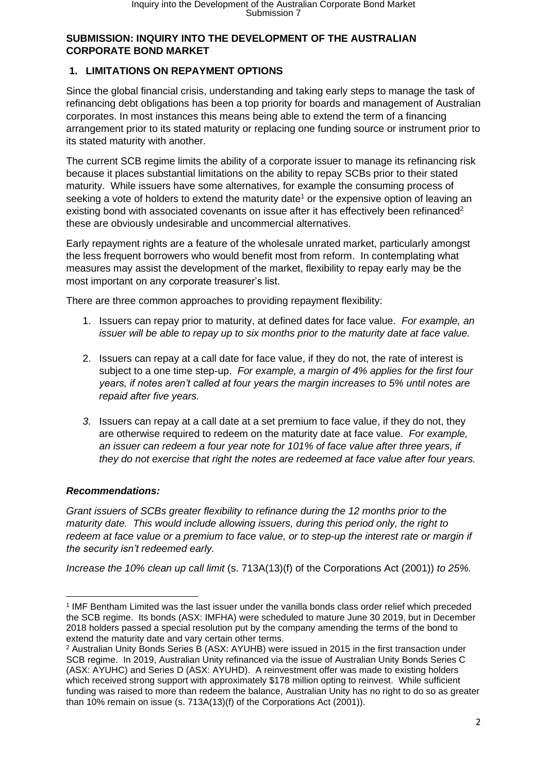## **SUBMISSION: INQUIRY INTO THE DEVELOPMENT OF THE AUSTRALIAN CORPORATE BOND MARKET**

## **1. LIMITATIONS ON REPAYMENT OPTIONS**

Since the global financial crisis, understanding and taking early steps to manage the task of refinancing debt obligations has been a top priority for boards and management of Australian corporates. In most instances this means being able to extend the term of a financing arrangement prior to its stated maturity or replacing one funding source or instrument prior to its stated maturity with another.

The current SCB regime limits the ability of a corporate issuer to manage its refinancing risk because it places substantial limitations on the ability to repay SCBs prior to their stated maturity. While issuers have some alternatives, for example the consuming process of seeking a vote of holders to extend the maturity date<sup>1</sup> or the expensive option of leaving an existing bond with associated covenants on issue after it has effectively been refinanced<sup>2</sup> these are obviously undesirable and uncommercial alternatives.

Early repayment rights are a feature of the wholesale unrated market, particularly amongst the less frequent borrowers who would benefit most from reform. In contemplating what measures may assist the development of the market, flexibility to repay early may be the most important on any corporate treasurer's list.

There are three common approaches to providing repayment flexibility:

- 1. Issuers can repay prior to maturity, at defined dates for face value. *For example, an issuer will be able to repay up to six months prior to the maturity date at face value.*
- 2. Issuers can repay at a call date for face value, if they do not, the rate of interest is subject to a one time step-up. *For example, a margin of 4% applies for the first four years, if notes aren't called at four years the margin increases to 5% until notes are repaid after five years.*
- *3.* Issuers can repay at a call date at a set premium to face value, if they do not, they are otherwise required to redeem on the maturity date at face value. *For example, an issuer can redeem a four year note for 101% of face value after three years, if they do not exercise that right the notes are redeemed at face value after four years.*

## *Recommendations:*

*Grant issuers of SCBs greater flexibility to refinance during the 12 months prior to the maturity date. This would include allowing issuers, during this period only, the right to redeem at face value or a premium to face value, or to step-up the interest rate or margin if the security isn't redeemed early.*

*Increase the 10% clean up call limit* (s. 713A(13)(f) of the Corporations Act (2001)) *to 25%.*

<sup>1</sup> IMF Bentham Limited was the last issuer under the vanilla bonds class order relief which preceded the SCB regime. Its bonds (ASX: IMFHA) were scheduled to mature June 30 2019, but in December 2018 holders passed a special resolution put by the company amending the terms of the bond to extend the maturity date and vary certain other terms.

<sup>2</sup> Australian Unity Bonds Series B (ASX: AYUHB) were issued in 2015 in the first transaction under SCB regime. In 2019, Australian Unity refinanced via the issue of Australian Unity Bonds Series C (ASX: AYUHC) and Series D (ASX: AYUHD). A reinvestment offer was made to existing holders which received strong support with approximately \$178 million opting to reinvest. While sufficient funding was raised to more than redeem the balance, Australian Unity has no right to do so as greater than 10% remain on issue (s. 713A(13)(f) of the Corporations Act (2001)).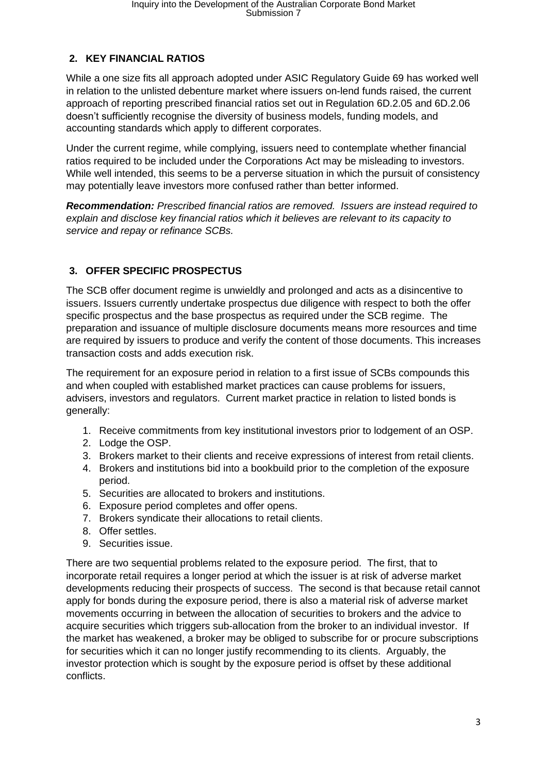# **2. KEY FINANCIAL RATIOS**

While a one size fits all approach adopted under ASIC Regulatory Guide 69 has worked well in relation to the unlisted debenture market where issuers on-lend funds raised, the current approach of reporting prescribed financial ratios set out in Regulation 6D.2.05 and 6D.2.06 doesn't sufficiently recognise the diversity of business models, funding models, and accounting standards which apply to different corporates.

Under the current regime, while complying, issuers need to contemplate whether financial ratios required to be included under the Corporations Act may be misleading to investors. While well intended, this seems to be a perverse situation in which the pursuit of consistency may potentially leave investors more confused rather than better informed.

*Recommendation: Prescribed financial ratios are removed. Issuers are instead required to explain and disclose key financial ratios which it believes are relevant to its capacity to service and repay or refinance SCBs.*

# **3. OFFER SPECIFIC PROSPECTUS**

The SCB offer document regime is unwieldly and prolonged and acts as a disincentive to issuers. Issuers currently undertake prospectus due diligence with respect to both the offer specific prospectus and the base prospectus as required under the SCB regime. The preparation and issuance of multiple disclosure documents means more resources and time are required by issuers to produce and verify the content of those documents. This increases transaction costs and adds execution risk.

The requirement for an exposure period in relation to a first issue of SCBs compounds this and when coupled with established market practices can cause problems for issuers, advisers, investors and regulators. Current market practice in relation to listed bonds is generally:

- 1. Receive commitments from key institutional investors prior to lodgement of an OSP.
- 2. Lodge the OSP.
- 3. Brokers market to their clients and receive expressions of interest from retail clients.
- 4. Brokers and institutions bid into a bookbuild prior to the completion of the exposure period.
- 5. Securities are allocated to brokers and institutions.
- 6. Exposure period completes and offer opens.
- 7. Brokers syndicate their allocations to retail clients.
- 8. Offer settles.
- 9. Securities issue.

There are two sequential problems related to the exposure period. The first, that to incorporate retail requires a longer period at which the issuer is at risk of adverse market developments reducing their prospects of success. The second is that because retail cannot apply for bonds during the exposure period, there is also a material risk of adverse market movements occurring in between the allocation of securities to brokers and the advice to acquire securities which triggers sub-allocation from the broker to an individual investor. If the market has weakened, a broker may be obliged to subscribe for or procure subscriptions for securities which it can no longer justify recommending to its clients. Arguably, the investor protection which is sought by the exposure period is offset by these additional conflicts.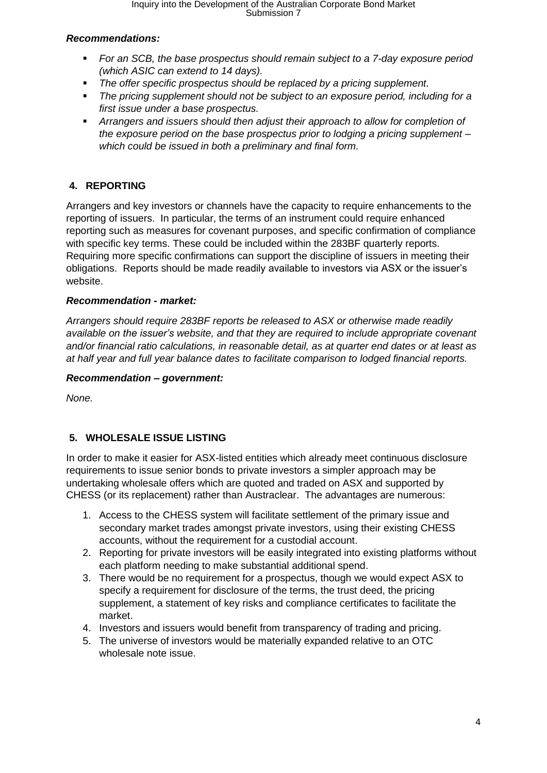## *Recommendations:*

- *For an SCB, the base prospectus should remain subject to a 7-day exposure period (which ASIC can extend to 14 days).*
- *The offer specific prospectus should be replaced by a pricing supplement.*
- The pricing supplement should not be subject to an exposure period, including for a *first issue under a base prospectus.*
- *Arrangers and issuers should then adjust their approach to allow for completion of the exposure period on the base prospectus prior to lodging a pricing supplement – which could be issued in both a preliminary and final form.*

## **4. REPORTING**

Arrangers and key investors or channels have the capacity to require enhancements to the reporting of issuers. In particular, the terms of an instrument could require enhanced reporting such as measures for covenant purposes, and specific confirmation of compliance with specific key terms. These could be included within the 283BF quarterly reports. Requiring more specific confirmations can support the discipline of issuers in meeting their obligations. Reports should be made readily available to investors via ASX or the issuer's website.

#### *Recommendation - market:*

*Arrangers should require 283BF reports be released to ASX or otherwise made readily available on the issuer's website, and that they are required to include appropriate covenant and/or financial ratio calculations, in reasonable detail, as at quarter end dates or at least as at half year and full year balance dates to facilitate comparison to lodged financial reports.*

#### *Recommendation – government:*

*None.*

### **5. WHOLESALE ISSUE LISTING**

In order to make it easier for ASX-listed entities which already meet continuous disclosure requirements to issue senior bonds to private investors a simpler approach may be undertaking wholesale offers which are quoted and traded on ASX and supported by CHESS (or its replacement) rather than Austraclear. The advantages are numerous:

- 1. Access to the CHESS system will facilitate settlement of the primary issue and secondary market trades amongst private investors, using their existing CHESS accounts, without the requirement for a custodial account.
- 2. Reporting for private investors will be easily integrated into existing platforms without each platform needing to make substantial additional spend.
- 3. There would be no requirement for a prospectus, though we would expect ASX to specify a requirement for disclosure of the terms, the trust deed, the pricing supplement, a statement of key risks and compliance certificates to facilitate the market.
- 4. Investors and issuers would benefit from transparency of trading and pricing.
- 5. The universe of investors would be materially expanded relative to an OTC wholesale note issue.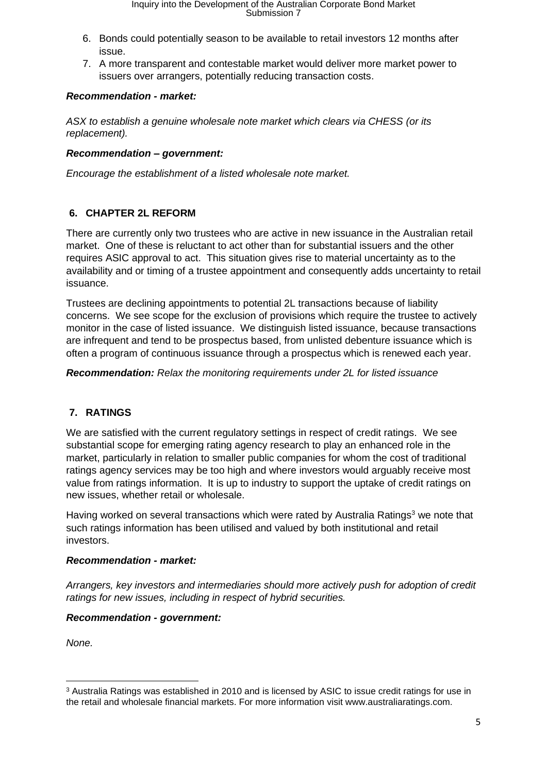- 6. Bonds could potentially season to be available to retail investors 12 months after issue.
- 7. A more transparent and contestable market would deliver more market power to issuers over arrangers, potentially reducing transaction costs.

### *Recommendation - market:*

*ASX to establish a genuine wholesale note market which clears via CHESS (or its replacement).*

### *Recommendation – government:*

*Encourage the establishment of a listed wholesale note market.*

### **6. CHAPTER 2L REFORM**

There are currently only two trustees who are active in new issuance in the Australian retail market. One of these is reluctant to act other than for substantial issuers and the other requires ASIC approval to act. This situation gives rise to material uncertainty as to the availability and or timing of a trustee appointment and consequently adds uncertainty to retail issuance.

Trustees are declining appointments to potential 2L transactions because of liability concerns. We see scope for the exclusion of provisions which require the trustee to actively monitor in the case of listed issuance. We distinguish listed issuance, because transactions are infrequent and tend to be prospectus based, from unlisted debenture issuance which is often a program of continuous issuance through a prospectus which is renewed each year.

*Recommendation: Relax the monitoring requirements under 2L for listed issuance*

### **7. RATINGS**

We are satisfied with the current regulatory settings in respect of credit ratings. We see substantial scope for emerging rating agency research to play an enhanced role in the market, particularly in relation to smaller public companies for whom the cost of traditional ratings agency services may be too high and where investors would arguably receive most value from ratings information. It is up to industry to support the uptake of credit ratings on new issues, whether retail or wholesale.

Having worked on several transactions which were rated by Australia Ratings<sup>3</sup> we note that such ratings information has been utilised and valued by both institutional and retail investors.

#### *Recommendation - market:*

*Arrangers, key investors and intermediaries should more actively push for adoption of credit ratings for new issues, including in respect of hybrid securities.*

#### *Recommendation - government:*

*None.*

<sup>3</sup> Australia Ratings was established in 2010 and is licensed by ASIC to issue credit ratings for use in the retail and wholesale financial markets. For more information visit www.australiaratings.com.